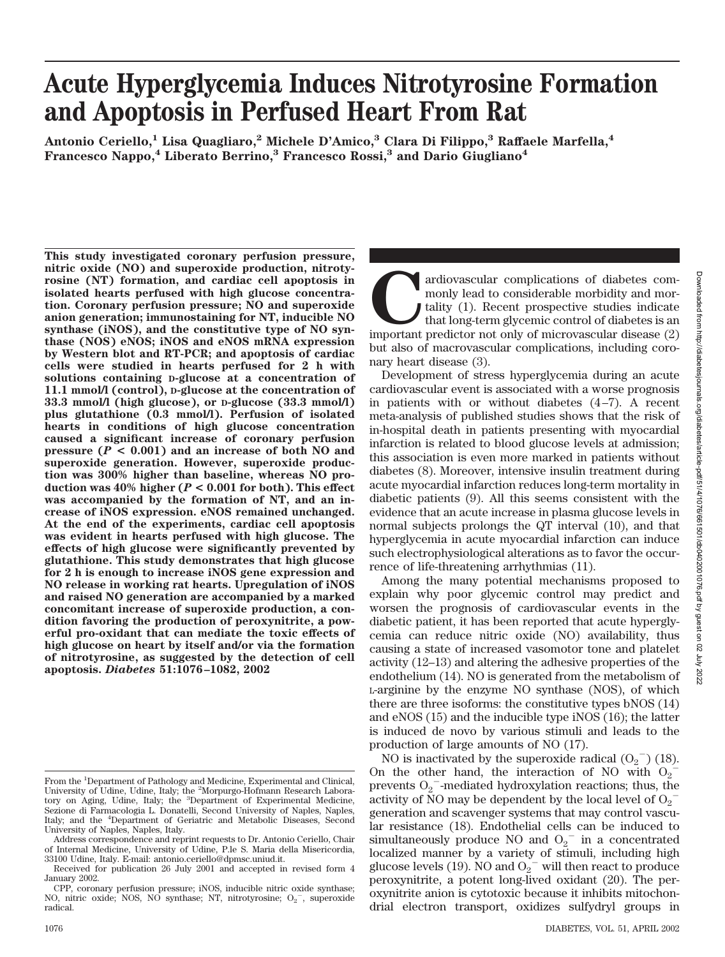# **Acute Hyperglycemia Induces Nitrotyrosine Formation and Apoptosis in Perfused Heart From Rat**

**Antonio Ceriello,1 Lisa Quagliaro,2 Michele D'Amico,3 Clara Di Filippo,3 Raffaele Marfella,4 Francesco Nappo,4 Liberato Berrino,3 Francesco Rossi,3 and Dario Giugliano4**

**This study investigated coronary perfusion pressure, nitric oxide (NO) and superoxide production, nitrotyrosine (NT) formation, and cardiac cell apoptosis in isolated hearts perfused with high glucose concentration. Coronary perfusion pressure; NO and superoxide anion generation; immunostaining for NT, inducible NO synthase (iNOS), and the constitutive type of NO synthase (NOS) eNOS; iNOS and eNOS mRNA expression by Western blot and RT-PCR; and apoptosis of cardiac cells were studied in hearts perfused for 2 h with solutions containing D-glucose at a concentration of 11.1 mmol/l (control), D-glucose at the concentration of 33.3 mmol/l (high glucose), or D-glucose (33.3 mmol/l) plus glutathione (0.3 mmol/l). Perfusion of isolated hearts in conditions of high glucose concentration caused a significant increase of coronary perfusion pressure (***P* **< 0.001) and an increase of both NO and superoxide generation. However, superoxide production was 300% higher than baseline, whereas NO production was 40% higher (***P* **< 0.001 for both). This effect was accompanied by the formation of NT, and an increase of iNOS expression. eNOS remained unchanged. At the end of the experiments, cardiac cell apoptosis was evident in hearts perfused with high glucose. The effects of high glucose were significantly prevented by glutathione. This study demonstrates that high glucose for 2 h is enough to increase iNOS gene expression and NO release in working rat hearts. Upregulation of iNOS and raised NO generation are accompanied by a marked concomitant increase of superoxide production, a condition favoring the production of peroxynitrite, a powerful pro-oxidant that can mediate the toxic effects of high glucose on heart by itself and/or via the formation of nitrotyrosine, as suggested by the detection of cell apoptosis.** *Diabetes* **51:1076–1082, 2002**

ardiovascular complications of diabetes commonly lead to considerable morbidity and mortality (1). Recent prospective studies indicate that long-term glycemic control of diabetes is an important predictor not only of micro monly lead to considerable morbidity and mortality (1). Recent prospective studies indicate that long-term glycemic control of diabetes is an but also of macrovascular complications, including coronary heart disease (3).

Development of stress hyperglycemia during an acute cardiovascular event is associated with a worse prognosis in patients with or without diabetes (4–7). A recent meta-analysis of published studies shows that the risk of in-hospital death in patients presenting with myocardial infarction is related to blood glucose levels at admission; this association is even more marked in patients without diabetes (8). Moreover, intensive insulin treatment during acute myocardial infarction reduces long-term mortality in diabetic patients (9). All this seems consistent with the evidence that an acute increase in plasma glucose levels in normal subjects prolongs the QT interval (10), and that hyperglycemia in acute myocardial infarction can induce such electrophysiological alterations as to favor the occurrence of life-threatening arrhythmias (11).

Among the many potential mechanisms proposed to explain why poor glycemic control may predict and worsen the prognosis of cardiovascular events in the diabetic patient, it has been reported that acute hyperglycemia can reduce nitric oxide (NO) availability, thus causing a state of increased vasomotor tone and platelet activity (12–13) and altering the adhesive properties of the endothelium (14). NO is generated from the metabolism of L-arginine by the enzyme NO synthase (NOS), of which there are three isoforms: the constitutive types bNOS (14) and eNOS (15) and the inducible type iNOS (16); the latter is induced de novo by various stimuli and leads to the production of large amounts of NO (17).

NO is inactivated by the superoxide radical  $(O_2^-)$  (18). On the other hand, the interaction of NO with  $O_2$ prevents  $O_2$ <sup>-</sup>-mediated hydroxylation reactions; thus, the activity of NO may be dependent by the local level of  $O_2^$ generation and scavenger systems that may control vascular resistance (18). Endothelial cells can be induced to simultaneously produce NO and  $O_2$ <sup>-</sup> in a concentrated localized manner by a variety of stimuli, including high glucose levels (19). NO and  $O_2^{\text{-}}$  will then react to produce peroxynitrite, a potent long-lived oxidant (20). The peroxynitrite anion is cytotoxic because it inhibits mitochondrial electron transport, oxidizes sulfydryl groups in

From the <sup>1</sup>Department of Pathology and Medicine, Experimental and Clinical, University of Udine, Udine, Italy; the <sup>2</sup>Morpurgo-Hofmann Research Laboratory on Aging, Udine, Italy; the <sup>3</sup>Department of Experimental Medicine, Sezione di Farmacologia L. Donatelli, Second University of Naples, Naples, Italy; and the <sup>4</sup>Department of Geriatric and Metabolic Diseases, Second University of Naples, Naples, Italy.

Address correspondence and reprint requests to Dr. Antonio Ceriello, Chair of Internal Medicine, University of Udine, P.le S. Maria della Misericordia, 33100 Udine, Italy. E-mail: antonio.ceriello@dpmsc.uniud.it.

Received for publication 26 July 2001 and accepted in revised form 4 January 2002.

CPP, coronary perfusion pressure; iNOS, inducible nitric oxide synthase; NO, nitric oxide; NOS, NO synthase; NT, nitrotyrosine;  $O_2$ , superoxide radical.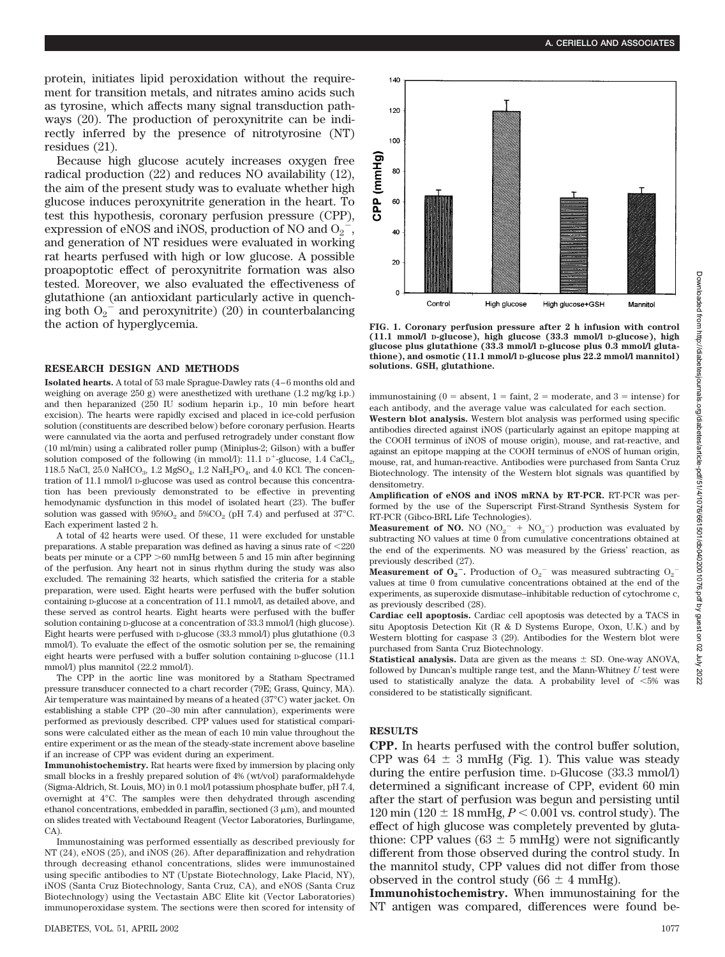2022

protein, initiates lipid peroxidation without the requirement for transition metals, and nitrates amino acids such as tyrosine, which affects many signal transduction pathways (20). The production of peroxynitrite can be indirectly inferred by the presence of nitrotyrosine (NT) residues (21).

Because high glucose acutely increases oxygen free radical production (22) and reduces NO availability (12), the aim of the present study was to evaluate whether high glucose induces peroxynitrite generation in the heart. To test this hypothesis, coronary perfusion pressure (CPP), expression of eNOS and iNOS, production of NO and  $O_2^{\sim}$ , and generation of NT residues were evaluated in working rat hearts perfused with high or low glucose. A possible proapoptotic effect of peroxynitrite formation was also tested. Moreover, we also evaluated the effectiveness of glutathione (an antioxidant particularly active in quenching both  $O_2^{\text{-}}$  and peroxynitrite) (20) in counterbalancing the action of hyperglycemia.

## **RESEARCH DESIGN AND METHODS**

**Isolated hearts.** A total of 53 male Sprague-Dawley rats (4–6 months old and weighing on average 250 g) were anesthetized with urethane  $(1.2 \text{ me/kg} \text{ i.p.})$ and then heparanized (250 IU sodium heparin i.p., 10 min before heart excision). The hearts were rapidly excised and placed in ice-cold perfusion solution (constituents are described below) before coronary perfusion. Hearts were cannulated via the aorta and perfused retrogradely under constant flow (10 ml/min) using a calibrated roller pump (Miniplus-2; Gilson) with a buffer solution composed of the following (in mmol/l): 11.1  $D^+$ -glucose, 1.4 CaCl<sub>2</sub>, 118.5 NaCl, 25.0 NaHCO<sub>3</sub>, 1.2 MgSO<sub>4</sub>, 1.2 NaH<sub>2</sub>PO<sub>4</sub>, and 4.0 KCl. The concentration of 11.1 mmol/l D-glucose was used as control because this concentration has been previously demonstrated to be effective in preventing hemodynamic dysfunction in this model of isolated heart (23). The buffer solution was gassed with  $95\%O_2$  and  $5\%CO_2$  (pH 7.4) and perfused at 37°C. Each experiment lasted 2 h.

A total of 42 hearts were used. Of these, 11 were excluded for unstable preparations. A stable preparation was defined as having a sinus rate of  $\langle 220 \rangle$ beats per minute or a CPP  $>60$  mmHg between 5 and 15 min after beginning of the perfusion. Any heart not in sinus rhythm during the study was also excluded. The remaining 32 hearts, which satisfied the criteria for a stable preparation, were used. Eight hearts were perfused with the buffer solution containing D-glucose at a concentration of 11.1 mmol/l, as detailed above, and these served as control hearts. Eight hearts were perfused with the buffer solution containing p-glucose at a concentration of 33.3 mmol/l (high glucose). Eight hearts were perfused with D-glucose (33.3 mmol/l) plus glutathione (0.3 mmol/l). To evaluate the effect of the osmotic solution per se, the remaining eight hearts were perfused with a buffer solution containing D-glucose (11.1) mmol/l) plus mannitol (22.2 mmol/l).

The CPP in the aortic line was monitored by a Statham Spectramed pressure transducer connected to a chart recorder (79E; Grass, Quincy, MA). Air temperature was maintained by means of a heated (37°C) water jacket. On establishing a stable CPP (20–30 min after cannulation), experiments were performed as previously described. CPP values used for statistical comparisons were calculated either as the mean of each 10 min value throughout the entire experiment or as the mean of the steady-state increment above baseline if an increase of CPP was evident during an experiment.

**Immunohistochemistry.** Rat hearts were fixed by immersion by placing only small blocks in a freshly prepared solution of 4% (wt/vol) paraformaldehyde (Sigma-Aldrich, St. Louis, MO) in 0.1 mol/l potassium phosphate buffer, pH 7.4, overnight at 4°C. The samples were then dehydrated through ascending ethanol concentrations, embedded in paraffin, sectioned  $(3 \mu m)$ , and mounted on slides treated with Vectabound Reagent (Vector Laboratories, Burlingame, CA).

Immunostaining was performed essentially as described previously for NT (24), eNOS (25), and iNOS (26). After deparaffinization and rehydration through decreasing ethanol concentrations, slides were immunostained using specific antibodies to NT (Upstate Biotechnology, Lake Placid, NY), iNOS (Santa Cruz Biotechnology, Santa Cruz, CA), and eNOS (Santa Cruz Biotechnology) using the Vectastain ABC Elite kit (Vector Laboratories) immunoperoxidase system. The sections were then scored for intensity of



**FIG. 1. Coronary perfusion pressure after 2 h infusion with control (11.1 mmol/l D-glucose), high glucose (33.3 mmol/l D-glucose), high glucose plus glutathione (33.3 mmol/l D-glucose plus 0.3 mmol/l glutathione), and osmotic (11.1 mmol/l D-glucose plus 22.2 mmol/l mannitol) solutions. GSH, glutathione.**

immunostaining ( $0 =$  absent,  $1 =$  faint,  $2 =$  moderate, and  $3 =$  intense) for each antibody, and the average value was calculated for each section.

**Western blot analysis.** Western blot analysis was performed using specific antibodies directed against iNOS (particularly against an epitope mapping at the COOH terminus of iNOS of mouse origin), mouse, and rat-reactive, and against an epitope mapping at the COOH terminus of eNOS of human origin, mouse, rat, and human-reactive. Antibodies were purchased from Santa Cruz Biotechnology. The intensity of the Western blot signals was quantified by densitometry.

**Amplification of eNOS and iNOS mRNA by RT-PCR.** RT-PCR was performed by the use of the Superscript First-Strand Synthesis System for RT-PCR (Gibco-BRL Life Technologies).

**Measurement of NO.** NO  $(NO<sub>2</sub><sup>-</sup> + NO<sub>3</sub><sup>-</sup>)$  production was evaluated by subtracting NO values at time 0 from cumulative concentrations obtained at the end of the experiments. NO was measured by the Griess' reaction, as previously described (27).

**Measurement of**  $O_2^-$ **. Production of**  $O_2^-$  **was measured subtracting**  $O_2^$ values at time 0 from cumulative concentrations obtained at the end of the experiments, as superoxide dismutase–inhibitable reduction of cytochrome c, as previously described (28).

**Cardiac cell apoptosis.** Cardiac cell apoptosis was detected by a TACS in situ Apoptosis Detection Kit (R & D Systems Europe, Oxon, U.K.) and by Western blotting for caspase 3 (29). Antibodies for the Western blot were purchased from Santa Cruz Biotechnology.

**Statistical analysis.** Data are given as the means  $\pm$  SD. One-way ANOVA, followed by Duncan's multiple range test, and the Mann-Whitney *U* test were used to statistically analyze the data. A probability level of 5% was considered to be statistically significant.

### **RESULTS**

**CPP.** In hearts perfused with the control buffer solution, CPP was  $64 \pm 3$  mmHg (Fig. 1). This value was steady during the entire perfusion time. D-Glucose (33.3 mmol/l) determined a significant increase of CPP, evident 60 min after the start of perfusion was begun and persisting until 120 min (120  $\pm$  18 mmHg,  $P < 0.001$  vs. control study). The effect of high glucose was completely prevented by glutathione: CPP values (63  $\pm$  5 mmHg) were not significantly different from those observed during the control study. In the mannitol study, CPP values did not differ from those observed in the control study (66  $\pm$  4 mmHg).

**Immunohistochemistry.** When immunostaining for the NT antigen was compared, differences were found be-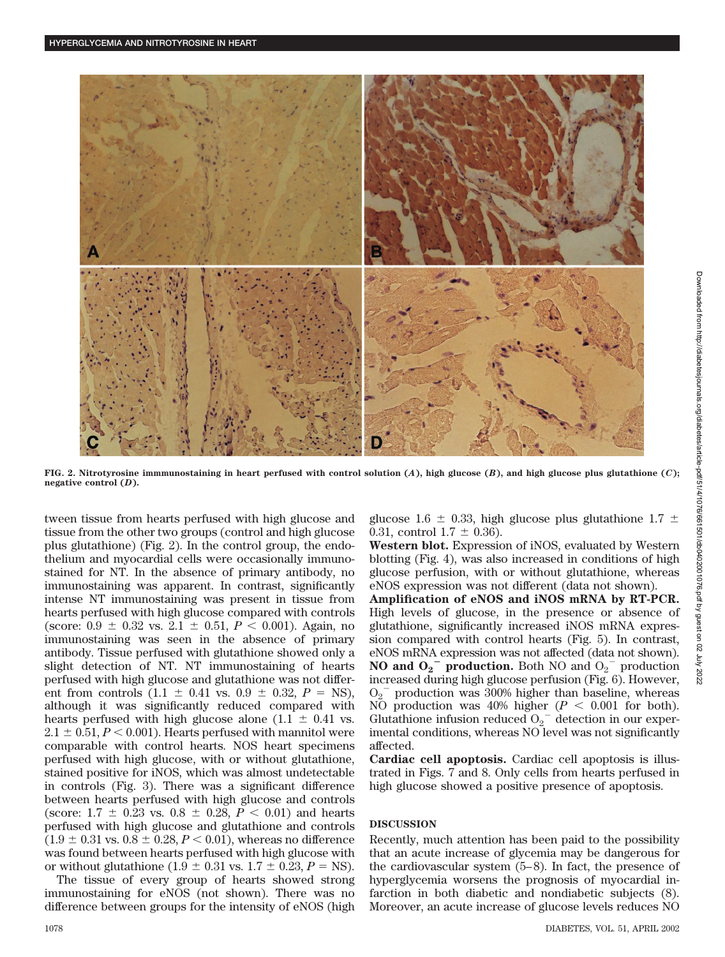

**FIG. 2. Nitrotyrosine immmunostaining in heart perfused with control solution (***A***), high glucose (***B***), and high glucose plus glutathione (***C***); negative control (***D***).**

tween tissue from hearts perfused with high glucose and tissue from the other two groups (control and high glucose plus glutathione) (Fig. 2). In the control group, the endothelium and myocardial cells were occasionally immunostained for NT. In the absence of primary antibody, no immunostaining was apparent. In contrast, significantly intense NT immunostaining was present in tissue from hearts perfused with high glucose compared with controls (score:  $0.9 \pm 0.32$  vs.  $2.1 \pm 0.51$ ,  $P < 0.001$ ). Again, no immunostaining was seen in the absence of primary antibody. Tissue perfused with glutathione showed only a slight detection of NT. NT immunostaining of hearts perfused with high glucose and glutathione was not different from controls  $(1.1 \pm 0.41 \text{ vs. } 0.9 \pm 0.32, P = \text{NS})$ , although it was significantly reduced compared with hearts perfused with high glucose alone (1.1  $\pm$  0.41 vs.  $2.1 \pm 0.51, P < 0.001$ . Hearts perfused with mannitol were comparable with control hearts. NOS heart specimens perfused with high glucose, with or without glutathione, stained positive for iNOS, which was almost undetectable in controls (Fig. 3). There was a significant difference between hearts perfused with high glucose and controls (score:  $1.7 \pm 0.23$  vs.  $0.8 \pm 0.28$ ,  $P < 0.01$ ) and hearts perfused with high glucose and glutathione and controls  $(1.9 \pm 0.31 \text{ vs. } 0.8 \pm 0.28, P < 0.01)$ , whereas no difference was found between hearts perfused with high glucose with or without glutathione (1.9  $\pm$  0.31 vs. 1.7  $\pm$  0.23, *P* = NS).

The tissue of every group of hearts showed strong immunostaining for eNOS (not shown). There was no difference between groups for the intensity of eNOS (high glucose 1.6  $\pm$  0.33, high glucose plus glutathione 1.7  $\pm$ 0.31, control  $1.7 \pm 0.36$ ).

**Western blot.** Expression of iNOS, evaluated by Western blotting (Fig. 4), was also increased in conditions of high glucose perfusion, with or without glutathione, whereas eNOS expression was not different (data not shown).

**Amplification of eNOS and iNOS mRNA by RT-PCR.** High levels of glucose, in the presence or absence of glutathione, significantly increased iNOS mRNA expression compared with control hearts (Fig. 5). In contrast, eNOS mRNA expression was not affected (data not shown). **NO and**  $O_2$ **<sup>-</sup> production.** Both NO and  $O_2$ <sup>-</sup> production increased during high glucose perfusion (Fig. 6). However,  $O_2$ <sup>-</sup> production was 300% higher than baseline, whereas NO production was 40% higher  $(P < 0.001$  for both). Glutathione infusion reduced  $O_2$ <sup>-</sup> detection in our experimental conditions, whereas NO level was not significantly affected.

**Cardiac cell apoptosis.** Cardiac cell apoptosis is illustrated in Figs. 7 and 8. Only cells from hearts perfused in high glucose showed a positive presence of apoptosis.

### **DISCUSSION**

Recently, much attention has been paid to the possibility that an acute increase of glycemia may be dangerous for the cardiovascular system (5–8). In fact, the presence of hyperglycemia worsens the prognosis of myocardial infarction in both diabetic and nondiabetic subjects (8). Moreover, an acute increase of glucose levels reduces NO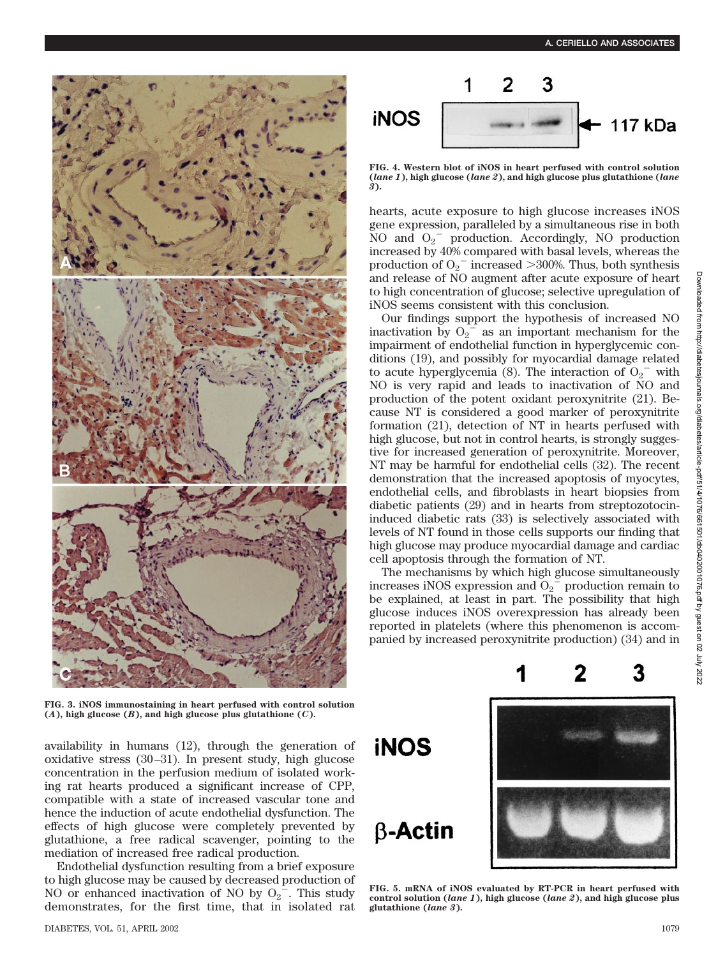

**FIG. 3. iNOS immunostaining in heart perfused with control solution**  $(A)$ , high glucose  $(B)$ , and high glucose plus glutathione  $(C)$ .

availability in humans (12), through the generation of oxidative stress (30–31). In present study, high glucose concentration in the perfusion medium of isolated working rat hearts produced a significant increase of CPP, compatible with a state of increased vascular tone and hence the induction of acute endothelial dysfunction. The effects of high glucose were completely prevented by glutathione, a free radical scavenger, pointing to the mediation of increased free radical production.

Endothelial dysfunction resulting from a brief exposure to high glucose may be caused by decreased production of NO or enhanced inactivation of NO by  $O_2$ <sup>-</sup>. This study demonstrates, for the first time, that in isolated rat



**FIG. 4. Western blot of iNOS in heart perfused with control solution (***lane 1***), high glucose (***lane 2***), and high glucose plus glutathione (***lane 3***).**

hearts, acute exposure to high glucose increases iNOS gene expression, paralleled by a simultaneous rise in both NO and  $O_2$ <sup>-</sup> production. Accordingly, NO production increased by 40% compared with basal levels, whereas the production of  $O_2$ <sup>-</sup> increased >300%. Thus, both synthesis and release of NO augment after acute exposure of heart to high concentration of glucose; selective upregulation of iNOS seems consistent with this conclusion.

Our findings support the hypothesis of increased NO inactivation by  $O_2^{\frac{1}{2}}$  as an important mechanism for the impairment of endothelial function in hyperglycemic conditions (19), and possibly for myocardial damage related to acute hyperglycemia (8). The interaction of  $O_2$ <sup>-</sup> with NO is very rapid and leads to inactivation of NO and production of the potent oxidant peroxynitrite (21). Because NT is considered a good marker of peroxynitrite formation (21), detection of NT in hearts perfused with high glucose, but not in control hearts, is strongly suggestive for increased generation of peroxynitrite. Moreover, NT may be harmful for endothelial cells (32). The recent demonstration that the increased apoptosis of myocytes, endothelial cells, and fibroblasts in heart biopsies from diabetic patients (29) and in hearts from streptozotocininduced diabetic rats (33) is selectively associated with levels of NT found in those cells supports our finding that high glucose may produce myocardial damage and cardiac cell apoptosis through the formation of NT.

The mechanisms by which high glucose simultaneously increases iNOS expression and  $O_2$ <sup> $=$ </sup> production remain to be explained, at least in part. The possibility that high glucose induces iNOS overexpression has already been reported in platelets (where this phenomenon is accompanied by increased peroxynitrite production) (34) and in

**iNOS** 

 $\beta$ -Actin



2

**FIG. 5. mRNA of iNOS evaluated by RT-PCR in heart perfused with control solution (***lane 1***), high glucose (***lane 2***), and high glucose plus glutathione (***lane 3***).**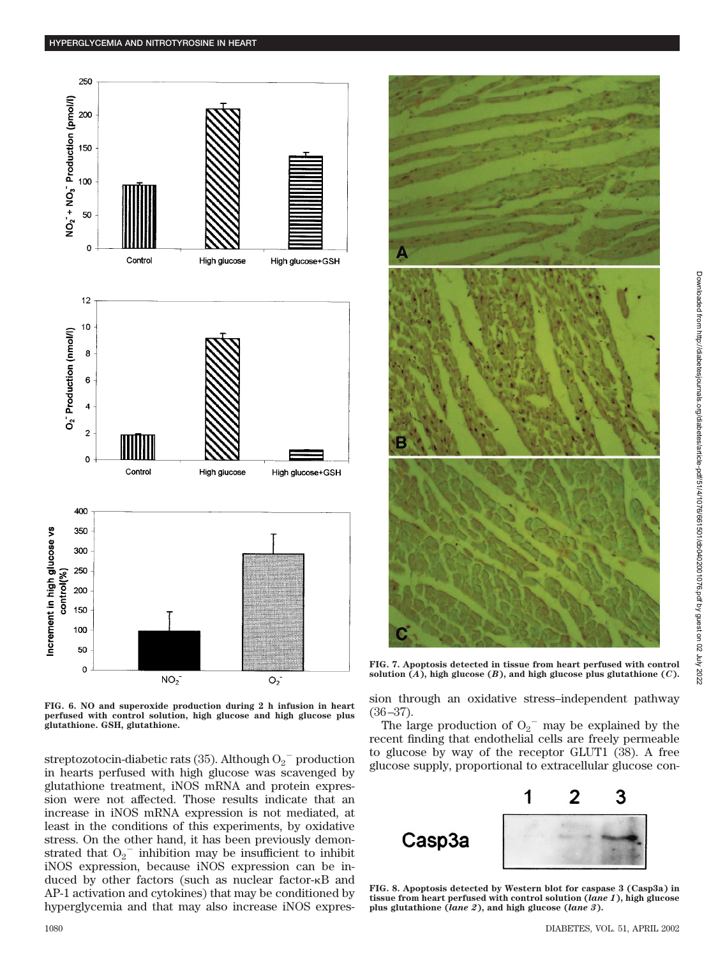

**FIG. 6. NO and superoxide production during 2 h infusion in heart perfused with control solution, high glucose and high glucose plus glutathione. GSH, glutathione.**

streptozotocin-diabetic rats (35). Although  $O_2^-$  production in hearts perfused with high glucose was scavenged by glutathione treatment, iNOS mRNA and protein expression were not affected. Those results indicate that an increase in iNOS mRNA expression is not mediated, at least in the conditions of this experiments, by oxidative stress. On the other hand, it has been previously demonstrated that  $O_2$ <sup>-</sup> inhibition may be insufficient to inhibit iNOS expression, because iNOS expression can be induced by other factors (such as nuclear factor- $\kappa$ B and AP-1 activation and cytokines) that may be conditioned by hyperglycemia and that may also increase iNOS expres-



**FIG. 7. Apoptosis detected in tissue from heart perfused with control** solution  $(A)$ , high glucose  $(B)$ , and high glucose plus glutathione  $(C)$ .

sion through an oxidative stress–independent pathway (36–37).

The large production of  $O_2$ <sup>-</sup> may be explained by the recent finding that endothelial cells are freely permeable to glucose by way of the receptor GLUT1 (38). A free glucose supply, proportional to extracellular glucose con-



**FIG. 8. Apoptosis detected by Western blot for caspase 3 (Casp3a) in tissue from heart perfused with control solution (***lane 1***), high glucose plus glutathione (***lane 2***), and high glucose (***lane 3***).**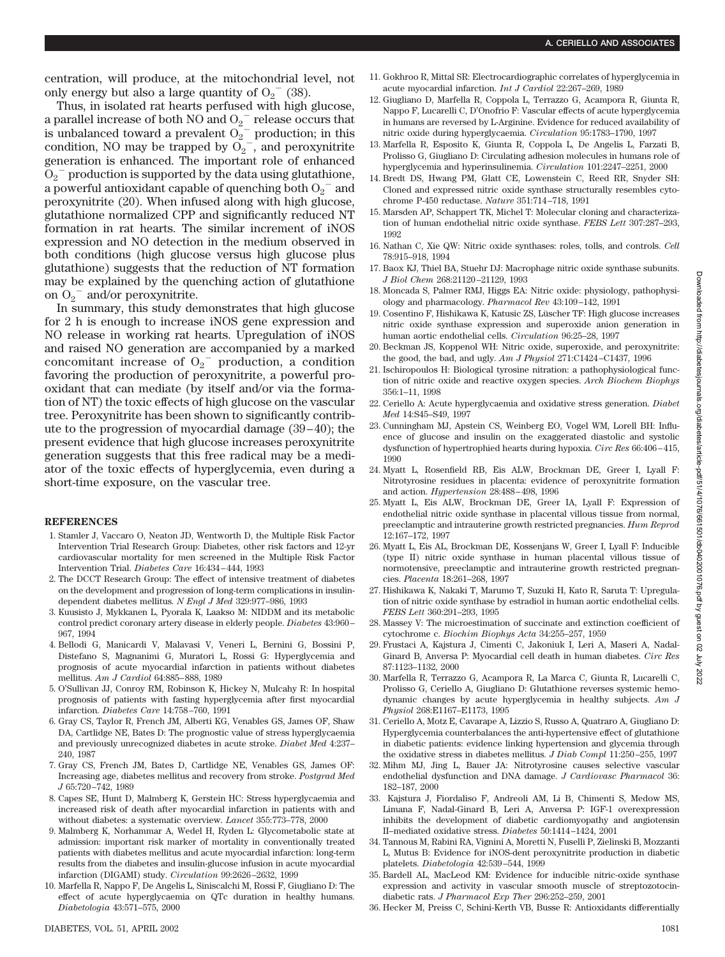centration, will produce, at the mitochondrial level, not only energy but also a large quantity of  $O_2$ <sup>-</sup> (38).

Thus, in isolated rat hearts perfused with high glucose, a parallel increase of both NO and  $O_2$ <sup>-</sup> release occurs that is unbalanced toward a prevalent  $O_2^{\sim}$  production; in this condition, NO may be trapped by  $O_2^-$ , and peroxynitrite generation is enhanced. The important role of enhanced  $\mathrm{\tilde{O}_2}^-$  production is supported by the data using glutathione, a powerful antioxidant capable of quenching both  $O_2^-$  and peroxynitrite (20). When infused along with high glucose, glutathione normalized CPP and significantly reduced NT formation in rat hearts. The similar increment of iNOS expression and NO detection in the medium observed in both conditions (high glucose versus high glucose plus glutathione) suggests that the reduction of NT formation may be explained by the quenching action of glutathione on  $O_2$ <sup>-</sup> and/or peroxynitrite.

In summary, this study demonstrates that high glucose for 2 h is enough to increase iNOS gene expression and NO release in working rat hearts. Upregulation of iNOS and raised NO generation are accompanied by a marked concomitant increase of  $O_2$ <sup>-</sup> production, a condition favoring the production of peroxynitrite, a powerful prooxidant that can mediate (by itself and/or via the formation of NT) the toxic effects of high glucose on the vascular tree. Peroxynitrite has been shown to significantly contribute to the progression of myocardial damage (39–40); the present evidence that high glucose increases peroxynitrite generation suggests that this free radical may be a mediator of the toxic effects of hyperglycemia, even during a short-time exposure, on the vascular tree.

#### **REFERENCES**

- 1. Stamler J, Vaccaro O, Neaton JD, Wentworth D, the Multiple Risk Factor Intervention Trial Research Group: Diabetes, other risk factors and 12-yr cardiovascular mortality for men screened in the Multiple Risk Factor Intervention Trial. *Diabetes Care* 16:434–444, 1993
- 2. The DCCT Research Group: The effect of intensive treatment of diabetes on the development and progression of long-term complications in insulindependent diabetes mellitus. *N Engl J Med* 329:977–986, 1993
- 3. Kuusisto J, Mykkanen L, Pyorala K, Laakso M: NIDDM and its metabolic control predict coronary artery disease in elderly people. *Diabetes* 43:960– 967, 1994
- 4. Bellodi G, Manicardi V, Malavasi V, Veneri L, Bernini G, Bossini P, Distefano S, Magnanimi G, Muratori L, Rossi G: Hyperglycemia and prognosis of acute myocardial infarction in patients without diabetes mellitus. *Am J Cardiol* 64:885–888, 1989
- 5. O'Sullivan JJ, Conroy RM, Robinson K, Hickey N, Mulcahy R: In hospital prognosis of patients with fasting hyperglycemia after first myocardial infarction. *Diabetes Care* 14:758–760, 1991
- 6. Gray CS, Taylor R, French JM, Alberti KG, Venables GS, James OF, Shaw DA, Cartlidge NE, Bates D: The prognostic value of stress hyperglycaemia and previously unrecognized diabetes in acute stroke. *Diabet Med* 4:237– 240, 1987
- 7. Gray CS, French JM, Bates D, Cartlidge NE, Venables GS, James OF: Increasing age, diabetes mellitus and recovery from stroke. *Postgrad Med J* 65:720–742, 1989
- 8. Capes SE, Hunt D, Malmberg K, Gerstein HC: Stress hyperglycaemia and increased risk of death after myocardial infarction in patients with and without diabetes: a systematic overview. *Lancet* 355:773–778, 2000
- 9. Malmberg K, Norhammar A, Wedel H, Ryden L: Glycometabolic state at admission: important risk marker of mortality in conventionally treated patients with diabetes mellitus and acute myocardial infarction: long-term results from the diabetes and insulin-glucose infusion in acute myocardial infarction (DIGAMI) study. *Circulation* 99:2626–2632, 1999
- 10. Marfella R, Nappo F, De Angelis L, Siniscalchi M, Rossi F, Giugliano D: The effect of acute hyperglycaemia on QTc duration in healthy humans. *Diabetologia* 43:571–575, 2000
- 11. Gokhroo R, Mittal SR: Electrocardiographic correlates of hyperglycemia in acute myocardial infarction. *Int J Cardiol* 22:267–269, 1989
- 12. Giugliano D, Marfella R, Coppola L, Terrazzo G, Acampora R, Giunta R, Nappo F, Lucarelli C, D'Onofrio F: Vascular effects of acute hyperglycemia in humans are reversed by L-Arginine. Evidence for reduced availability of nitric oxide during hyperglycaemia. *Circulation* 95:1783–1790, 1997
- 13. Marfella R, Esposito K, Giunta R, Coppola L, De Angelis L, Farzati B, Prolisso G, Giugliano D: Circulating adhesion molecules in humans role of hyperglycemia and hyperinsulinemia. *Circulation* 101:2247–2251, 2000
- 14. Bredt DS, Hwang PM, Glatt CE, Lowenstein C, Reed RR, Snyder SH: Cloned and expressed nitric oxide synthase structurally resembles cytochrome P-450 reductase. *Nature* 351:714–718, 1991
- 15. Marsden AP, Schappert TK, Michel T: Molecular cloning and characterization of human endothelial nitric oxide synthase. *FEBS Lett* 307:287–293, 1992
- 16. Nathan C, Xie QW: Nitric oxide synthases: roles, tolls, and controls. *Cell* 78:915–918, 1994
- 17. Baox KJ, Thiel BA, Stuehr DJ: Macrophage nitric oxide synthase subunits. *J Biol Chem* 268:21120–21129, 1993
- 18. Moncada S, Palmer RMJ, Higgs EA: Nitric oxide: physiology, pathophysiology and pharmacology. *Pharmacol Rev* 43:109–142, 1991
- 19. Cosentino F, Hishikawa K, Katusic ZS, Lüscher TF: High glucose increases nitric oxide synthase expression and superoxide anion generation in human aortic endothelial cells. *Circulation* 96:25–28, 1997
- 20. Beckman JS, Koppenol WH: Nitric oxide, superoxide, and peroxynitrite: the good, the bad, and ugly. *Am J Physiol* 271:C1424–C1437, 1996
- 21. Ischiropoulos H: Biological tyrosine nitration: a pathophysiological function of nitric oxide and reactive oxygen species. *Arch Biochem Biophys* 356:1–11, 1998
- 22. Ceriello A: Acute hyperglycaemia and oxidative stress generation. *Diabet Med* 14:S45–S49, 1997
- 23. Cunningham MJ, Apstein CS, Weinberg EO, Vogel WM, Lorell BH: Influence of glucose and insulin on the exaggerated diastolic and systolic dysfunction of hypertrophied hearts during hypoxia. *Circ Res* 66:406–415, 1990
- 24. Myatt L, Rosenfield RB, Eis ALW, Brockman DE, Greer I, Lyall F: Nitrotyrosine residues in placenta: evidence of peroxynitrite formation and action. *Hypertension* 28:488–498, 1996
- 25. Myatt L, Eis ALW, Brockman DE, Greer IA, Lyall F: Expression of endothelial nitric oxide synthase in placental villous tissue from normal, preeclamptic and intrauterine growth restricted pregnancies. *Hum Reprod* 12:167–172, 1997
- 26. Myatt L, Eis AL, Brockman DE, Kossenjans W, Greer I, Lyall F: Inducible (type II) nitric oxide synthase in human placental villous tissue of normotensive, preeclamptic and intrauterine growth restricted pregnancies. *Placenta* 18:261–268, 1997
- 27. Hishikawa K, Nakaki T, Marumo T, Suzuki H, Kato R, Saruta T: Upregulation of nitric oxide synthase by estradiol in human aortic endothelial cells. *FEBS Lett* 360:291–293, 1995
- 28. Massey V: The microestimation of succinate and extinction coefficient of cytochrome c. *Biochim Biophys Acta* 34:255–257, 1959
- 29. Frustaci A, Kajstura J, Cimenti C, Jakoniuk I, Leri A, Maseri A, Nadal-Ginard B, Anversa P: Myocardial cell death in human diabetes. *Circ Res* 87:1123–1132, 2000
- 30. Marfella R, Terrazzo G, Acampora R, La Marca C, Giunta R, Lucarelli C, Prolisso G, Ceriello A, Giugliano D: Glutathione reverses systemic hemodynamic changes by acute hyperglycemia in healthy subjects. *Am J Physiol* 268:E1167–E1173, 1995
- 31. Ceriello A, Motz E, Cavarape A, Lizzio S, Russo A, Quatraro A, Giugliano D: Hyperglycemia counterbalances the anti-hypertensive effect of glutathione in diabetic patients: evidence linking hypertension and glycemia through the oxidative stress in diabetes mellitus. *J Diab Compl* 11:250–255, 1997
- 32. Mihm MJ, Jing L, Bauer JA: Nitrotyrosine causes selective vascular endothelial dysfunction and DNA damage. *J Cardiovasc Pharmacol* 36: 182–187, 2000
- 33. Kajstura J, Fiordaliso F, Andreoli AM, Li B, Chimenti S, Medow MS, Limana F, Nadal-Ginard B, Leri A, Anversa P: IGF-1 overexpression inhibits the development of diabetic cardiomyopathy and angiotensin II–mediated oxidative stress. *Diabetes* 50:1414–1424, 2001
- 34. Tannous M, Rabini RA, Vignini A, Moretti N, Fuselli P, Zielinski B, Mozzanti L, Mutus B: Evidence for iNOS-dent peroxynitrite production in diabetic platelets. *Diabetologia* 42:539–544, 1999
- 35. Bardell AL, MacLeod KM: Evidence for inducible nitric-oxide synthase expression and activity in vascular smooth muscle of streptozotocindiabetic rats. *J Pharmacol Exp Ther* 296:252–259, 2001
- 36. Hecker M, Preiss C, Schini-Kerth VB, Busse R: Antioxidants differentially